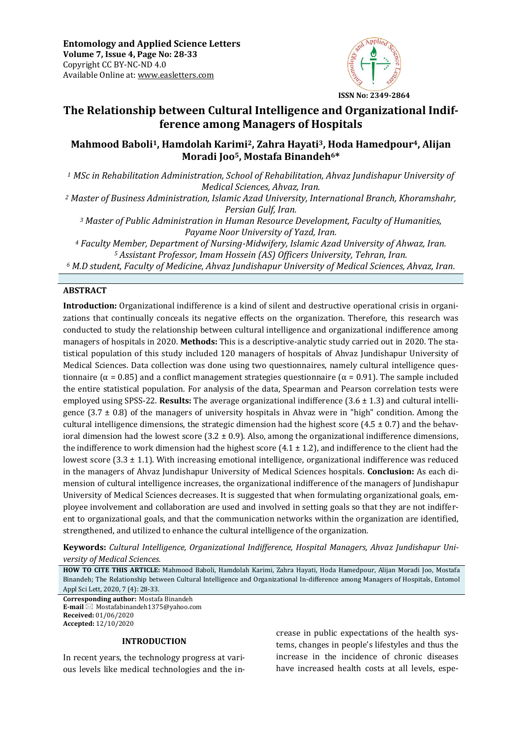

# **The Relationship between Cultural Intelligence and Organizational Indifference among Managers of Hospitals**

# **Mahmood Baboli1, Hamdolah Karimi2, Zahra Hayati3, Hoda Hamedpour4, Alijan Moradi Joo5, Mostafa Binandeh6\***

*<sup>1</sup> MSc in Rehabilitation Administration, School of Rehabilitation, Ahvaz Jundishapur University of Medical Sciences, Ahvaz, Iran.* 

*<sup>2</sup> Master of Business Administration, Islamic Azad University, International Branch, Khoramshahr, Persian Gulf, Iran.* 

*<sup>3</sup> Master of Public Administration in Human Resource Development, Faculty of Humanities, Payame Noor University of Yazd, Iran.* 

*<sup>4</sup> Faculty Member, Department of Nursing-Midwifery, Islamic Azad University of Ahwaz, Iran. <sup>5</sup> Assistant Professor, Imam Hossein (AS) Officers University, Tehran, Iran.* 

*<sup>6</sup> M.D student, Faculty of Medicine, Ahvaz Jundishapur University of Medical Sciences, Ahvaz, Iran.*

# **ABSTRACT**

**Introduction:** Organizational indifference is a kind of silent and destructive operational crisis in organizations that continually conceals its negative effects on the organization. Therefore, this research was conducted to study the relationship between cultural intelligence and organizational indifference among managers of hospitals in 2020. **Methods:** This is a descriptive-analytic study carried out in 2020. The statistical population of this study included 120 managers of hospitals of Ahvaz Jundishapur University of Medical Sciences. Data collection was done using two questionnaires, namely cultural intelligence questionnaire ( $\alpha$  = 0.85) and a conflict management strategies questionnaire ( $\alpha$  = 0.91). The sample included the entire statistical population. For analysis of the data, Spearman and Pearson correlation tests were employed using SPSS-22. **Results:** The average organizational indifference (3.6 ± 1.3) and cultural intelligence  $(3.7 \pm 0.8)$  of the managers of university hospitals in Ahvaz were in "high" condition. Among the cultural intelligence dimensions, the strategic dimension had the highest score  $(4.5 \pm 0.7)$  and the behavioral dimension had the lowest score  $(3.2 \pm 0.9)$ . Also, among the organizational indifference dimensions, the indifference to work dimension had the highest score  $(4.1 \pm 1.2)$ , and indifference to the client had the lowest score  $(3.3 \pm 1.1)$ . With increasing emotional intelligence, organizational indifference was reduced in the managers of Ahvaz Jundishapur University of Medical Sciences hospitals. **Conclusion:** As each dimension of cultural intelligence increases, the organizational indifference of the managers of Jundishapur University of Medical Sciences decreases. It is suggested that when formulating organizational goals, employee involvement and collaboration are used and involved in setting goals so that they are not indifferent to organizational goals, and that the communication networks within the organization are identified, strengthened, and utilized to enhance the cultural intelligence of the organization*.* 

**Keywords:** *Cultural Intelligence, Organizational Indifference, Hospital Managers, Ahvaz Jundishapur University of Medical Sciences.*

**HOW TO CITE THIS ARTICLE:** Mahmood Baboli, Hamdolah Karimi, Zahra Hayati, Hoda Hamedpour, Alijan Moradi Joo, Mostafa Binandeh; The Relationship between Cultural Intelligence and Organizational In-difference among Managers of Hospitals, Entomol Appl Sci Lett, 2020, 7 (4): 28-33.

**Corresponding author:** Mostafa Binandeh **E-mail** ⊠ Mostafabinandeh1375@yahoo.com **Received:** 01/06/2020 **Accepted:** 12/10/2020

### **INTRODUCTION**

In recent years, the technology progress at various levels like medical technologies and the increase in public expectations of the health systems, changes in people's lifestyles and thus the increase in the incidence of chronic diseases have increased health costs at all levels, espe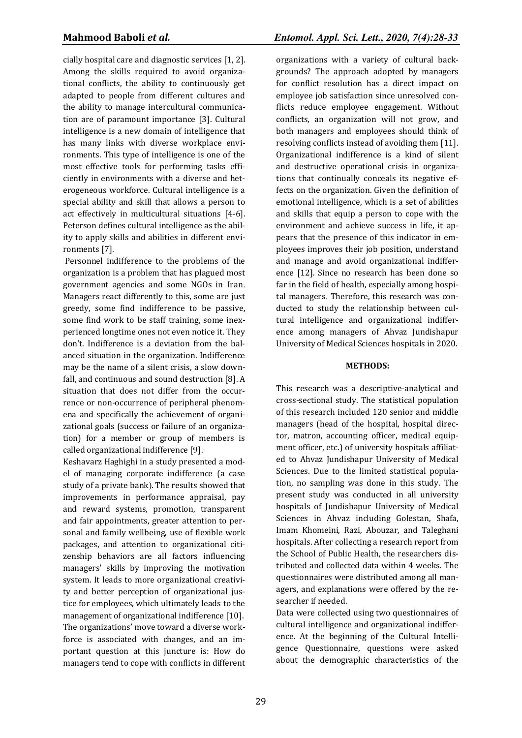cially hospital care and diagnostic services [1, 2]. Among the skills required to avoid organizational conflicts, the ability to continuously get adapted to people from different cultures and the ability to manage intercultural communication are of paramount importance [3]. Cultural intelligence is a new domain of intelligence that has many links with diverse workplace environments. This type of intelligence is one of the most effective tools for performing tasks efficiently in environments with a diverse and heterogeneous workforce. Cultural intelligence is a special ability and skill that allows a person to act effectively in multicultural situations [4-6]. Peterson defines cultural intelligence as the ability to apply skills and abilities in different environments [7].

Personnel indifference to the problems of the organization is a problem that has plagued most government agencies and some NGOs in Iran. Managers react differently to this, some are just greedy, some find indifference to be passive, some find work to be staff training, some inexperienced longtime ones not even notice it. They don't. Indifference is a deviation from the balanced situation in the organization. Indifference may be the name of a silent crisis, a slow downfall, and continuous and sound destruction [8]. A situation that does not differ from the occurrence or non-occurrence of peripheral phenomena and specifically the achievement of organizational goals (success or failure of an organization) for a member or group of members is called organizational indifference [9].

Keshavarz Haghighi in a study presented a model of managing corporate indifference (a case study of a private bank). The results showed that improvements in performance appraisal, pay and reward systems, promotion, transparent and fair appointments, greater attention to personal and family wellbeing, use of flexible work packages, and attention to organizational citizenship behaviors are all factors influencing managers' skills by improving the motivation system. It leads to more organizational creativity and better perception of organizational justice for employees, which ultimately leads to the management of organizational indifference [10]. The organizations' move toward a diverse workforce is associated with changes, and an important question at this juncture is: How do managers tend to cope with conflicts in different

organizations with a variety of cultural backgrounds? The approach adopted by managers for conflict resolution has a direct impact on employee job satisfaction since unresolved conflicts reduce employee engagement. Without conflicts, an organization will not grow, and both managers and employees should think of resolving conflicts instead of avoiding them [11]. Organizational indifference is a kind of silent and destructive operational crisis in organizations that continually conceals its negative effects on the organization. Given the definition of emotional intelligence, which is a set of abilities and skills that equip a person to cope with the environment and achieve success in life, it appears that the presence of this indicator in employees improves their job position, understand and manage and avoid organizational indifference [12]. Since no research has been done so far in the field of health, especially among hospital managers. Therefore, this research was conducted to study the relationship between cultural intelligence and organizational indifference among managers of Ahvaz Jundishapur University of Medical Sciences hospitals in 2020.

### **METHODS:**

This research was a descriptive-analytical and cross-sectional study. The statistical population of this research included 120 senior and middle managers (head of the hospital, hospital director, matron, accounting officer, medical equipment officer, etc.) of university hospitals affiliated to Ahvaz Jundishapur University of Medical Sciences. Due to the limited statistical population, no sampling was done in this study. The present study was conducted in all university hospitals of Jundishapur University of Medical Sciences in Ahvaz including Golestan, Shafa, Imam Khomeini, Razi, Abouzar, and Taleghani hospitals. After collecting a research report from the School of Public Health, the researchers distributed and collected data within 4 weeks. The questionnaires were distributed among all managers, and explanations were offered by the researcher if needed.

Data were collected using two questionnaires of cultural intelligence and organizational indifference. At the beginning of the Cultural Intelligence Questionnaire, questions were asked about the demographic characteristics of the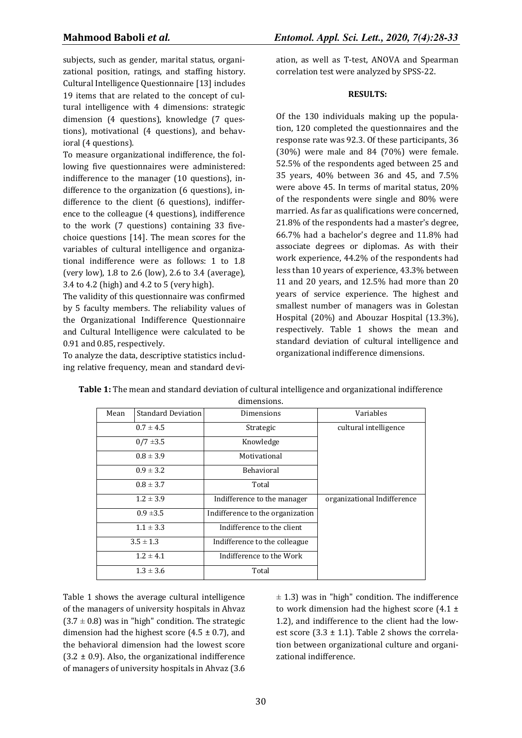subjects, such as gender, marital status, organizational position, ratings, and staffing history. Cultural Intelligence Questionnaire [13] includes 19 items that are related to the concept of cultural intelligence with 4 dimensions: strategic dimension (4 questions), knowledge (7 questions), motivational (4 questions), and behavioral (4 questions).

To measure organizational indifference, the following five questionnaires were administered: indifference to the manager (10 questions), indifference to the organization (6 questions), indifference to the client (6 questions), indifference to the colleague (4 questions), indifference to the work (7 questions) containing 33 fivechoice questions [14]. The mean scores for the variables of cultural intelligence and organizational indifference were as follows: 1 to 1.8 (very low), 1.8 to 2.6 (low), 2.6 to 3.4 (average), 3.4 to 4.2 (high) and 4.2 to 5 (very high).

The validity of this questionnaire was confirmed by 5 faculty members. The reliability values of the Organizational Indifference Questionnaire and Cultural Intelligence were calculated to be 0.91 and 0.85, respectively.

To analyze the data, descriptive statistics including relative frequency, mean and standard deviation, as well as T-test, ANOVA and Spearman correlation test were analyzed by SPSS-22.

# **RESULTS:**

Of the 130 individuals making up the population, 120 completed the questionnaires and the response rate was 92.3. Of these participants, 36 (30%) were male and 84 (70%) were female. 52.5% of the respondents aged between 25 and 35 years, 40% between 36 and 45, and 7.5% were above 45. In terms of marital status, 20% of the respondents were single and 80% were married. As far as qualifications were concerned, 21.8% of the respondents had a master's degree, 66.7% had a bachelor's degree and 11.8% had associate degrees or diplomas. As with their work experience, 44.2% of the respondents had less than 10 years of experience, 43.3% between 11 and 20 years, and 12.5% had more than 20 years of service experience. The highest and smallest number of managers was in Golestan Hospital (20%) and Abouzar Hospital (13.3%), respectively. Table 1 shows the mean and standard deviation of cultural intelligence and organizational indifference dimensions.

| Mean | <b>Standard Deviation</b> | Dimensions                       | Variables                   |  |  |  |  |  |
|------|---------------------------|----------------------------------|-----------------------------|--|--|--|--|--|
|      | $0.7 \pm 4.5$             | Strategic                        | cultural intelligence       |  |  |  |  |  |
|      | $0/7 = 3.5$               | Knowledge                        |                             |  |  |  |  |  |
|      | $0.8 \pm 3.9$             | Motivational                     |                             |  |  |  |  |  |
|      | $0.9 \pm 3.2$             | <b>Behavioral</b>                |                             |  |  |  |  |  |
|      | $0.8 \pm 3.7$             | Total                            |                             |  |  |  |  |  |
|      | $1.2 \pm 3.9$             | Indifference to the manager      | organizational Indifference |  |  |  |  |  |
|      | $0.9 \pm 3.5$             | Indifference to the organization |                             |  |  |  |  |  |
|      | $1.1 \pm 3.3$             | Indifference to the client       |                             |  |  |  |  |  |
|      | $3.5 \pm 1.3$             | Indifference to the colleague    |                             |  |  |  |  |  |
|      | $1.2 \pm 4.1$             | Indifference to the Work         |                             |  |  |  |  |  |
|      | $1.3 \pm 3.6$             | Total                            |                             |  |  |  |  |  |

| Table 1: The mean and standard deviation of cultural intelligence and organizational indifference |
|---------------------------------------------------------------------------------------------------|
| dimensions                                                                                        |

Table 1 shows the average cultural intelligence of the managers of university hospitals in Ahvaz  $(3.7 \pm 0.8)$  was in "high" condition. The strategic dimension had the highest score  $(4.5 \pm 0.7)$ , and the behavioral dimension had the lowest score  $(3.2 \pm 0.9)$ . Also, the organizational indifference of managers of university hospitals in Ahvaz (3.6  $\pm$  1.3) was in "high" condition. The indifference to work dimension had the highest score  $(4.1 \pm$ 1.2), and indifference to the client had the lowest score  $(3.3 \pm 1.1)$ . Table 2 shows the correlation between organizational culture and organizational indifference.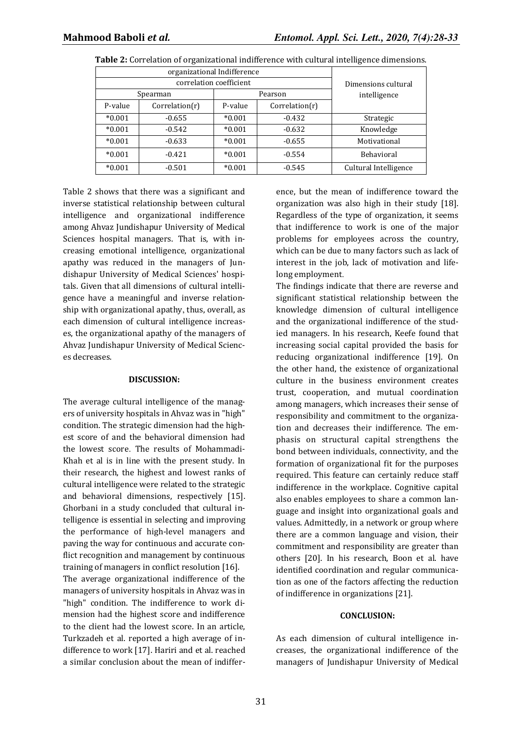|          | organizational Indifference | Dimensions cultural |                |                       |
|----------|-----------------------------|---------------------|----------------|-----------------------|
|          | correlation coefficient     |                     |                |                       |
| Spearman |                             | Pearson             |                | intelligence          |
| P-value  | Correlation(r)              | P-value             | Correlation(r) |                       |
| $*0.001$ | $-0.655$                    | $*0.001$            | $-0.432$       | Strategic             |
| $*0.001$ | $-0.542$                    | $*0.001$            | $-0.632$       | Knowledge             |
| $*0.001$ | $-0.633$                    | $*0.001$            | $-0.655$       | Motivational          |
| $*0.001$ | $-0.421$                    | $*0.001$            | $-0.554$       | <b>Behavioral</b>     |
| $*0.001$ | $-0.501$                    | $*0.001$            | $-0.545$       | Cultural Intelligence |

**Table 2:** Correlation of organizational indifference with cultural intelligence dimensions.

Table 2 shows that there was a significant and inverse statistical relationship between cultural intelligence and organizational indifference among Ahvaz Jundishapur University of Medical Sciences hospital managers. That is, with increasing emotional intelligence, organizational apathy was reduced in the managers of Jundishapur University of Medical Sciences' hospitals. Given that all dimensions of cultural intelligence have a meaningful and inverse relationship with organizational apathy, thus, overall, as each dimension of cultural intelligence increases, the organizational apathy of the managers of Ahvaz Jundishapur University of Medical Sciences decreases.

#### **DISCUSSION:**

The average cultural intelligence of the managers of university hospitals in Ahvaz was in "high" condition. The strategic dimension had the highest score of and the behavioral dimension had the lowest score. The results of Mohammadi-Khah et al is in line with the present study. In their research, the highest and lowest ranks of cultural intelligence were related to the strategic and behavioral dimensions, respectively [15]. Ghorbani in a study concluded that cultural intelligence is essential in selecting and improving the performance of high-level managers and paving the way for continuous and accurate conflict recognition and management by continuous training of managers in conflict resolution [16].

The average organizational indifference of the managers of university hospitals in Ahvaz was in "high" condition. The indifference to work dimension had the highest score and indifference to the client had the lowest score. In an article, Turkzadeh et al. reported a high average of indifference to work [17]. Hariri and et al. reached a similar conclusion about the mean of indiffer-

ence, but the mean of indifference toward the organization was also high in their study [18]. Regardless of the type of organization, it seems that indifference to work is one of the major problems for employees across the country, which can be due to many factors such as lack of interest in the job, lack of motivation and lifelong employment.

The findings indicate that there are reverse and significant statistical relationship between the knowledge dimension of cultural intelligence and the organizational indifference of the studied managers. In his research, Keefe found that increasing social capital provided the basis for reducing organizational indifference [19]. On the other hand, the existence of organizational culture in the business environment creates trust, cooperation, and mutual coordination among managers, which increases their sense of responsibility and commitment to the organization and decreases their indifference. The emphasis on structural capital strengthens the bond between individuals, connectivity, and the formation of organizational fit for the purposes required. This feature can certainly reduce staff indifference in the workplace. Cognitive capital also enables employees to share a common language and insight into organizational goals and values. Admittedly, in a network or group where there are a common language and vision, their commitment and responsibility are greater than others [20]. In his research, Boon et al. have identified coordination and regular communication as one of the factors affecting the reduction of indifference in organizations [21].

#### **CONCLUSION:**

As each dimension of cultural intelligence increases, the organizational indifference of the managers of Jundishapur University of Medical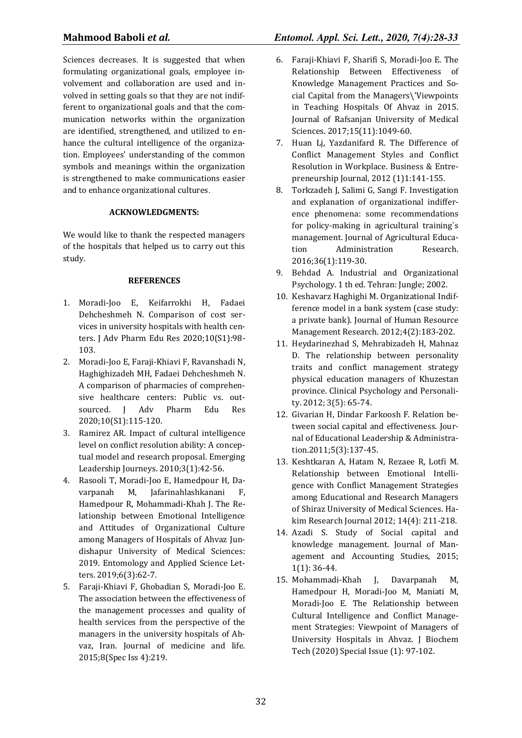Sciences decreases. It is suggested that when formulating organizational goals, employee involvement and collaboration are used and involved in setting goals so that they are not indifferent to organizational goals and that the communication networks within the organization are identified, strengthened, and utilized to enhance the cultural intelligence of the organization. Employees' understanding of the common symbols and meanings within the organization is strengthened to make communications easier and to enhance organizational cultures .

# **ACKNOWLEDGMENTS:**

We would like to thank the respected managers of the hospitals that helped us to carry out this study.

# **REFERENCES**

- 1. Moradi-Joo E, Keifarrokhi H, Fadaei Dehcheshmeh N. Comparison of cost services in university hospitals with health centers. J Adv Pharm Edu Res 2020;10(S1):98- 103.
- 2. Moradi-Joo E, Faraji-Khiavi F, Ravanshadi N, Haghighizadeh MH, Fadaei Dehcheshmeh N. A comparison of pharmacies of comprehensive healthcare centers: Public vs. outsourced. J Adv Pharm Edu Res 2020;10(S1):115-120.
- 3. Ramirez AR. Impact of cultural intelligence level on conflict resolution ability: A conceptual model and research proposal. Emerging Leadership Journeys. 2010;3(1):42-56.
- 4. Rasooli T, Moradi-Joo E, Hamedpour H, Davarpanah M, Jafarinahlashkanani F, Hamedpour R, Mohammadi-Khah J. The Relationship between Emotional Intelligence and Attitudes of Organizational Culture among Managers of Hospitals of Ahvaz Jundishapur University of Medical Sciences: 2019. Entomology and Applied Science Letters. 2019;6(3):62-7.
- 5. Faraji-Khiavi F, Ghobadian S, Moradi-Joo E. The association between the effectiveness of the management processes and quality of health services from the perspective of the managers in the university hospitals of Ahvaz, Iran. Journal of medicine and life. 2015;8(Spec Iss 4):219.

# **Mahmood Baboli** *et al.**Entomol. Appl. Sci. Lett., 2020, 7(4):28-33*

- 6. Faraji-Khiavi F, Sharifi S, Moradi-Joo E. The Relationship Between Effectiveness of Knowledge Management Practices and Social Capital from the Managers\'Viewpoints in Teaching Hospitals Of Ahvaz in 2015. Journal of Rafsanjan University of Medical Sciences. 2017;15(11):1049-60.
- 7. Huan Lj, Yazdanifard R. The Difference of Conflict Management Styles and Conflict Resolution in Workplace. Business & Entrepreneurship Journal, 2012 (1)1:141-155.
- 8. Torkzadeh J, Salimi G, Sangi F. Investigation and explanation of organizational indifference phenomena: some recommendations for policy-making in agricultural training`s management. Journal of Agricultural Education Administration Research. 2016;36(1):119-30.
- 9. Behdad A. Industrial and Organizational Psychology. 1 th ed. Tehran: Jungle; 2002.
- 10. Keshavarz Haghighi M. Organizational Indifference model in a bank system (case study: a private bank). Journal of Human Resource Management Research. 2012;4(2):183-202.
- 11. Heydarinezhad S, Mehrabizadeh H, Mahnaz D. The relationship between personality traits and conflict management strategy physical education managers of Khuzestan province. Clinical Psychology and Personality. 2012; 3(5): 65-74.
- 12. Givarian H, Dindar Farkoosh F. Relation between social capital and effectiveness. Journal of Educational Leadership & Administration.2011;5(3):137-45.
- 13. Keshtkaran A, Hatam N, Rezaee R, Lotfi M. Relationship between Emotional Intelligence with Conflict Management Strategies among Educational and Research Managers of Shiraz University of Medical Sciences. Hakim Research Journal 2012; 14(4): 211-218.
- 14. Azadi S. Study of Social capital and knowledge management. Journal of Management and Accounting Studies, 2015; 1(1): 36-44.
- 15. Mohammadi-Khah J, Davarpanah M, Hamedpour H, Moradi-Joo M, Maniati M, Moradi-Joo E. The Relationship between Cultural Intelligence and Conflict Management Strategies: Viewpoint of Managers of University Hospitals in Ahvaz. J Biochem Tech (2020) Special Issue (1): 97-102.